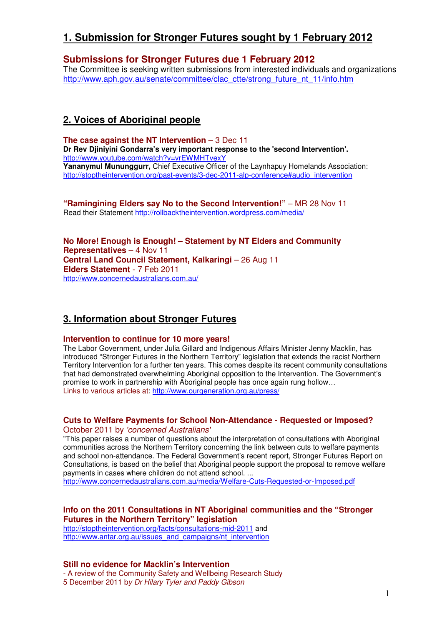# **1. Submission for Stronger Futures sought by 1 February 2012**

## **Submissions for Stronger Futures due 1 February 2012**

The Committee is seeking written submissions from interested individuals and organizations http://www.aph.gov.au/senate/committee/clac\_ctte/strong\_future\_nt\_11/info.htm

# **2. Voices of Aboriginal people**

**The case against the NT Intervention – 3 Dec 11 Dr Rev Djiniyini Gondarra's very important response to the 'second Intervention'.**  http://www.youtube.com/watch?v=vrEWMHTvexY **Yananymul Mununggurr,** Chief Executive Officer of the Laynhapuy Homelands Association: http://stoptheintervention.org/past-events/3-dec-2011-alp-conference#audio\_intervention

**"Ramingining Elders say No to the Second Intervention!"** – MR 28 Nov 11 Read their Statement http://rollbacktheintervention.wordpress.com/media/

**No More! Enough is Enough! – Statement by NT Elders and Community Representatives** – 4 Nov 11 **Central Land Council Statement, Kalkaringi - 26 Aug 11 Elders Statement** - 7 Feb 2011 http://www.concernedaustralians.com.au/

## **3. Information about Stronger Futures**

#### **Intervention to continue for 10 more years!**

The Labor Government, under Julia Gillard and Indigenous Affairs Minister Jenny Macklin, has introduced "Stronger Futures in the Northern Territory" legislation that extends the racist Northern Territory Intervention for a further ten years. This comes despite its recent community consultations that had demonstrated overwhelming Aboriginal opposition to the Intervention. The Government's promise to work in partnership with Aboriginal people has once again rung hollow… Links to various articles at: http://www.ourgeneration.org.au/press/

### **Cuts to Welfare Payments for School Non-Attendance - Requested or Imposed?**  October 2011 by 'concerned Australians'

"This paper raises a number of questions about the interpretation of consultations with Aboriginal communities across the Northern Territory concerning the link between cuts to welfare payments and school non-attendance. The Federal Government's recent report, Stronger Futures Report on Consultations, is based on the belief that Aboriginal people support the proposal to remove welfare payments in cases where children do not attend school. ...

http://www.concernedaustralians.com.au/media/Welfare-Cuts-Requested-or-Imposed.pdf

### **Info on the 2011 Consultations in NT Aboriginal communities and the "Stronger Futures in the Northern Territory" legislation**

http://stoptheintervention.org/facts/consultations-mid-2011 and http://www.antar.org.au/issues\_and\_campaigns/nt\_intervention

**Still no evidence for Macklin's Intervention** - A review of the Community Safety and Wellbeing Research Study 5 December 2011 by Dr Hilary Tyler and Paddy Gibson